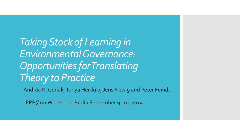*Taking Stock of Learning in Environmental Governance: Opportunities for Translating Theory to Practice*

Andrea K. Gerlak, Tanya Heikkila, Jens Newig and Peter Feindt

JEPP@21 Workshop, Berlin September 9 -10, 2019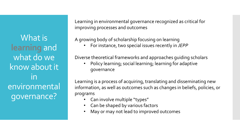What is **learning** and what do we know about it in environmental governance?

Learning in environmental governance recognized as critical for improving processes and outcomes

A growing body of scholarship focusing on learning

• For instance, two special issues recently in *JEPP*

Diverse theoretical frameworks and approaches guiding scholars

• Policy learning; social learning; learning for adaptive governance

Learning is a process of acquiring, translating and disseminating new information, as well as outcomes such as changes in beliefs, policies, or programs

- Can involve multiple "types"
- Can be shaped by various factors
- May or may not lead to improved outcomes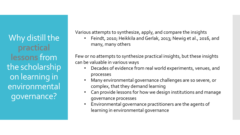Why distill the **practical lessons** from the scholarship on learning in environmental governance?

Various attempts to synthesize, apply, and compare the insights

• Feindt, 2010; Heikkila and Gerlak, 2013; Newig et al., 2016, and many, many others

Few or no attempts to synthesize practical insights, but these insights can be valuable in various ways

- Decades of evidence from real world experiments, venues, and processes
- Many environmental governance challenges are so severe, or complex, that they demand learning
- Can provide lessons for how we design institutions and manage governance processes
- Environmental governance practitioners are the agents of learning in environmental governance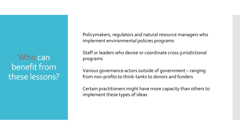**Who** can benefit from these lessons? Policymakers, regulators and natural resource managers who implement environmental policies programs

Staff or leaders who devise or coordinate cross-jurisdictional programs

Various governance actors outside of government – ranging from non-profits to think-tanks to donors and funders

Certain practitioners might have more capacity than others to implement these types of ideas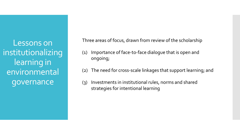Lessons on institutionalizing learning in environmental governance

Three areas of focus, drawn from review of the scholarship

- (1) Importance of face-to-face dialogue that is open and ongoing;
- (2) The need for cross-scale linkages that support learning; and
- (3) Investments in institutional rules, norms and shared strategies for intentional learning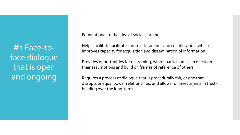#1 Face-toface dialogue that is open and ongoing

Foundational to the idea of social learning

Helps facilitate facilitates more interactions and collaboration, which improves capacity for acquisition and dissemination of information

Provides opportunities for re-framing, where participants can question their assumptions and build on frames of reference of others

Requires a process of dialogue that is procedurally fair, or one that disrupts unequal power relationships, and allows for investments in trustbuilding over the long-term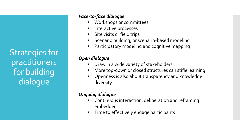Strategies for practitioners for building dialogue

## *Face-to-face dialogue*

- Workshops or committees
- Interactive processes
- Site visits or field trips
- Scenario building, or scenario-based modeling
- Participatory modeling and cognitive mapping

## *Open dialogue*

- Draw in a wide variety of stakeholders
- More top-down or closed structures can stifle learning
- Openness is also about transparency and knowledge diversity

# *Ongoing dialogue*

- Continuous interaction, deliberation and reframing embedded
- Time to effectively engage participants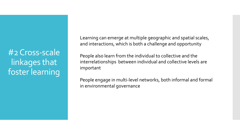#2 Cross-scale linkages that foster learning

Learning can emerge at multiple geographic and spatial scales, and interactions, which is both a challenge and opportunity

People also learn from the individual to collective and the interrelationships between individual and collective levels are important

People engage in multi-level networks, both informal and formal in environmental governance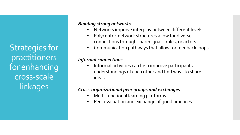Strategies for practitioners for enhancing cross-scale linkages

## *Building strong networks*

- Networks improve interplay between different levels
- Polycentric network structures allow for diverse connections through shared goals, rules, or actors
- Communication pathways that allow for feedback loops

## *Informal connections*

• Informal activities can help improve participants understandings of each other and find ways to share ideas

## *Cross-organizational peer groups and exchanges*

- Multi-functional learning platforms
- Peer evaluation and exchange of good practices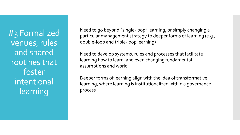#3 Formalized venues, rules and shared routines that foster intentional learning

Need to go beyond "single-loop" learning, or simply changing a particular management strategy to deeper forms of learning (e.g., double-loop and triple-loop learning)

Need to develop systems, rules and processes that facilitate learning how to learn, and even changing fundamental assumptions and world

Deeper forms of learning align with the idea of transformative learning, where learning is institutionalized within a governance process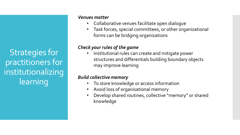Strategies for practitioners for institutionalizing learning

#### *Venues matter*

- Collaborative venues facilitate open dialogue
- Task forces, special committees, or other organizational forms can be bridging organizations

## *Check your rules of the game*

• Institutional rules can create and mitigate power structures and differentials building boundary objects may improve learning

## *Build collective memory*

- To store knowledge or access information
- Avoid loss of organisational memory
- Develop shared routines, collective "memory" or shared knowledge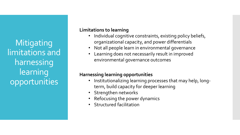**Mitigating** limitations and harnessing **learning** opportunities

### **Limitations to learning**

- Individual cognitive constraints, existing policy beliefs, organizational capacity, and power differentials
- Not all people learn in environmental governance
- Learning does not necessarily result in improved environmental governance outcomes

# **Harnessing learning opportunities**

- Institutionalizing learning processes that may help, longterm, build capacity for deeper learning
- Strengthen networks
- Refocusing the power dynamics
- Structured facilitation